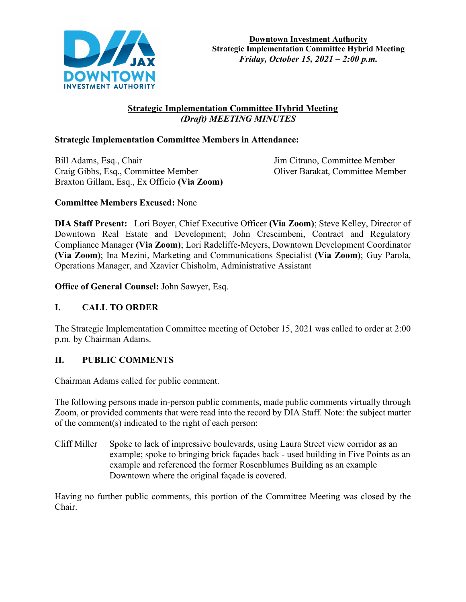

# **Strategic Implementation Committee Hybrid Meeting**  *(Draft) MEETING MINUTES*

# **Strategic Implementation Committee Members in Attendance:**

Bill Adams, Esq., Chair Jim Citrano, Committee Member Craig Gibbs, Esq., Committee Member Oliver Barakat, Committee Member Braxton Gillam, Esq., Ex Officio **(Via Zoom)**

# **Committee Members Excused:** None

**DIA Staff Present:** Lori Boyer, Chief Executive Officer **(Via Zoom)**; Steve Kelley, Director of Downtown Real Estate and Development; John Crescimbeni, Contract and Regulatory Compliance Manager **(Via Zoom)**; Lori Radcliffe-Meyers, Downtown Development Coordinator **(Via Zoom)**; Ina Mezini, Marketing and Communications Specialist **(Via Zoom)**; Guy Parola, Operations Manager, and Xzavier Chisholm, Administrative Assistant

**Office of General Counsel:** John Sawyer, Esq.

# **I. CALL TO ORDER**

The Strategic Implementation Committee meeting of October 15, 2021 was called to order at 2:00 p.m. by Chairman Adams.

# **II. PUBLIC COMMENTS**

Chairman Adams called for public comment.

The following persons made in-person public comments, made public comments virtually through Zoom, or provided comments that were read into the record by DIA Staff. Note: the subject matter of the comment(s) indicated to the right of each person:

Cliff Miller Spoke to lack of impressive boulevards, using Laura Street view corridor as an example; spoke to bringing brick façades back - used building in Five Points as an example and referenced the former Rosenblumes Building as an example Downtown where the original façade is covered.

Having no further public comments, this portion of the Committee Meeting was closed by the Chair.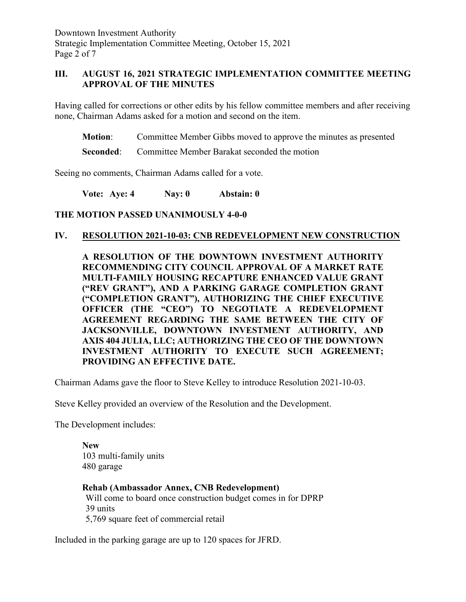Downtown Investment Authority Strategic Implementation Committee Meeting, October 15, 2021 Page 2 of 7

# **III. AUGUST 16, 2021 STRATEGIC IMPLEMENTATION COMMITTEE MEETING APPROVAL OF THE MINUTES**

Having called for corrections or other edits by his fellow committee members and after receiving none, Chairman Adams asked for a motion and second on the item.

**Motion**: Committee Member Gibbs moved to approve the minutes as presented

**Seconded:** Committee Member Barakat seconded the motion

Seeing no comments, Chairman Adams called for a vote.

**Vote: Aye: 4 Nay: 0 Abstain: 0** 

### **THE MOTION PASSED UNANIMOUSLY 4-0-0**

### **IV. RESOLUTION 2021-10-03: CNB REDEVELOPMENT NEW CONSTRUCTION**

**A RESOLUTION OF THE DOWNTOWN INVESTMENT AUTHORITY RECOMMENDING CITY COUNCIL APPROVAL OF A MARKET RATE MULTI-FAMILY HOUSING RECAPTURE ENHANCED VALUE GRANT ("REV GRANT"), AND A PARKING GARAGE COMPLETION GRANT ("COMPLETION GRANT"), AUTHORIZING THE CHIEF EXECUTIVE OFFICER (THE "CEO") TO NEGOTIATE A REDEVELOPMENT AGREEMENT REGARDING THE SAME BETWEEN THE CITY OF JACKSONVILLE, DOWNTOWN INVESTMENT AUTHORITY, AND AXIS 404 JULIA, LLC; AUTHORIZING THE CEO OF THE DOWNTOWN INVESTMENT AUTHORITY TO EXECUTE SUCH AGREEMENT; PROVIDING AN EFFECTIVE DATE.**

Chairman Adams gave the floor to Steve Kelley to introduce Resolution 2021-10-03.

Steve Kelley provided an overview of the Resolution and the Development.

The Development includes:

**New** 103 multi-family units 480 garage

**Rehab (Ambassador Annex, CNB Redevelopment)** Will come to board once construction budget comes in for DPRP 39 units 5,769 square feet of commercial retail

Included in the parking garage are up to 120 spaces for JFRD.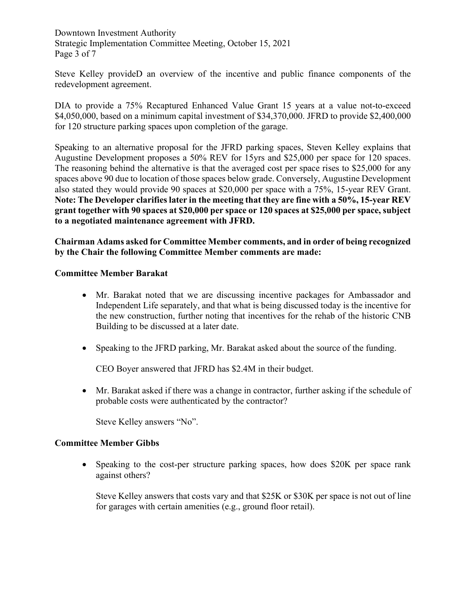Downtown Investment Authority Strategic Implementation Committee Meeting, October 15, 2021 Page 3 of 7

Steve Kelley provideD an overview of the incentive and public finance components of the redevelopment agreement.

DIA to provide a 75% Recaptured Enhanced Value Grant 15 years at a value not-to-exceed \$4,050,000, based on a minimum capital investment of \$34,370,000. JFRD to provide \$2,400,000 for 120 structure parking spaces upon completion of the garage.

Speaking to an alternative proposal for the JFRD parking spaces, Steven Kelley explains that Augustine Development proposes a 50% REV for 15yrs and \$25,000 per space for 120 spaces. The reasoning behind the alternative is that the averaged cost per space rises to \$25,000 for any spaces above 90 due to location of those spaces below grade. Conversely, Augustine Development also stated they would provide 90 spaces at \$20,000 per space with a 75%, 15-year REV Grant. **Note: The Developer clarifies later in the meeting that they are fine with a 50%, 15-year REV grant together with 90 spaces at \$20,000 per space or 120 spaces at \$25,000 per space, subject to a negotiated maintenance agreement with JFRD.**

**Chairman Adams asked for Committee Member comments, and in order of being recognized by the Chair the following Committee Member comments are made:**

# **Committee Member Barakat**

- Mr. Barakat noted that we are discussing incentive packages for Ambassador and Independent Life separately, and that what is being discussed today is the incentive for the new construction, further noting that incentives for the rehab of the historic CNB Building to be discussed at a later date.
- Speaking to the JFRD parking, Mr. Barakat asked about the source of the funding.

CEO Boyer answered that JFRD has \$2.4M in their budget.

• Mr. Barakat asked if there was a change in contractor, further asking if the schedule of probable costs were authenticated by the contractor?

Steve Kelley answers "No".

### **Committee Member Gibbs**

• Speaking to the cost-per structure parking spaces, how does \$20K per space rank against others?

Steve Kelley answers that costs vary and that \$25K or \$30K per space is not out of line for garages with certain amenities (e.g., ground floor retail).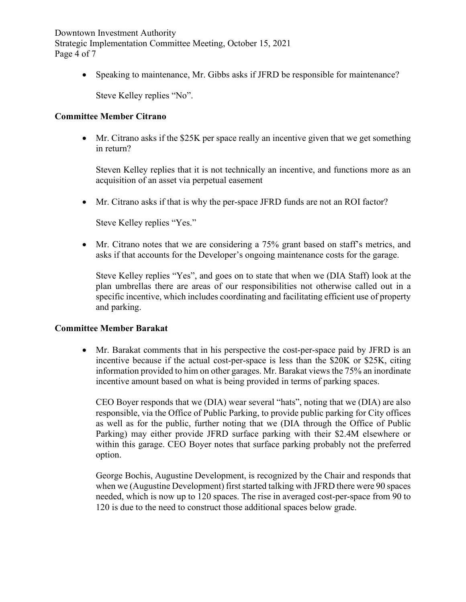Downtown Investment Authority Strategic Implementation Committee Meeting, October 15, 2021 Page 4 of 7

• Speaking to maintenance, Mr. Gibbs asks if JFRD be responsible for maintenance?

Steve Kelley replies "No".

#### **Committee Member Citrano**

• Mr. Citrano asks if the \$25K per space really an incentive given that we get something in return?

Steven Kelley replies that it is not technically an incentive, and functions more as an acquisition of an asset via perpetual easement

• Mr. Citrano asks if that is why the per-space JFRD funds are not an ROI factor?

Steve Kelley replies "Yes."

• Mr. Citrano notes that we are considering a 75% grant based on staff's metrics, and asks if that accounts for the Developer's ongoing maintenance costs for the garage.

Steve Kelley replies "Yes", and goes on to state that when we (DIA Staff) look at the plan umbrellas there are areas of our responsibilities not otherwise called out in a specific incentive, which includes coordinating and facilitating efficient use of property and parking.

### **Committee Member Barakat**

• Mr. Barakat comments that in his perspective the cost-per-space paid by JFRD is an incentive because if the actual cost-per-space is less than the \$20K or \$25K, citing information provided to him on other garages. Mr. Barakat views the 75% an inordinate incentive amount based on what is being provided in terms of parking spaces.

CEO Boyer responds that we (DIA) wear several "hats", noting that we (DIA) are also responsible, via the Office of Public Parking, to provide public parking for City offices as well as for the public, further noting that we (DIA through the Office of Public Parking) may either provide JFRD surface parking with their \$2.4M elsewhere or within this garage. CEO Boyer notes that surface parking probably not the preferred option.

George Bochis, Augustine Development, is recognized by the Chair and responds that when we (Augustine Development) first started talking with JFRD there were 90 spaces needed, which is now up to 120 spaces. The rise in averaged cost-per-space from 90 to 120 is due to the need to construct those additional spaces below grade.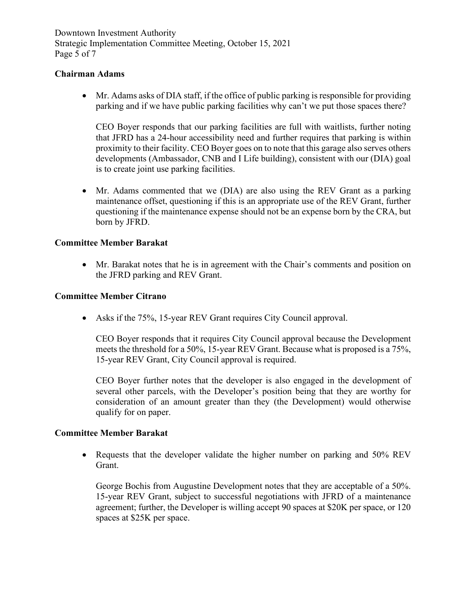Downtown Investment Authority Strategic Implementation Committee Meeting, October 15, 2021 Page 5 of 7

### **Chairman Adams**

• Mr. Adams asks of DIA staff, if the office of public parking is responsible for providing parking and if we have public parking facilities why can't we put those spaces there?

CEO Boyer responds that our parking facilities are full with waitlists, further noting that JFRD has a 24-hour accessibility need and further requires that parking is within proximity to their facility. CEO Boyer goes on to note that this garage also serves others developments (Ambassador, CNB and I Life building), consistent with our (DIA) goal is to create joint use parking facilities.

• Mr. Adams commented that we (DIA) are also using the REV Grant as a parking maintenance offset, questioning if this is an appropriate use of the REV Grant, further questioning if the maintenance expense should not be an expense born by the CRA, but born by JFRD.

# **Committee Member Barakat**

• Mr. Barakat notes that he is in agreement with the Chair's comments and position on the JFRD parking and REV Grant.

### **Committee Member Citrano**

• Asks if the 75%, 15-year REV Grant requires City Council approval.

CEO Boyer responds that it requires City Council approval because the Development meets the threshold for a 50%, 15-year REV Grant. Because what is proposed is a 75%, 15-year REV Grant, City Council approval is required.

CEO Boyer further notes that the developer is also engaged in the development of several other parcels, with the Developer's position being that they are worthy for consideration of an amount greater than they (the Development) would otherwise qualify for on paper.

### **Committee Member Barakat**

• Requests that the developer validate the higher number on parking and 50% REV Grant.

George Bochis from Augustine Development notes that they are acceptable of a 50%. 15-year REV Grant, subject to successful negotiations with JFRD of a maintenance agreement; further, the Developer is willing accept 90 spaces at \$20K per space, or 120 spaces at \$25K per space.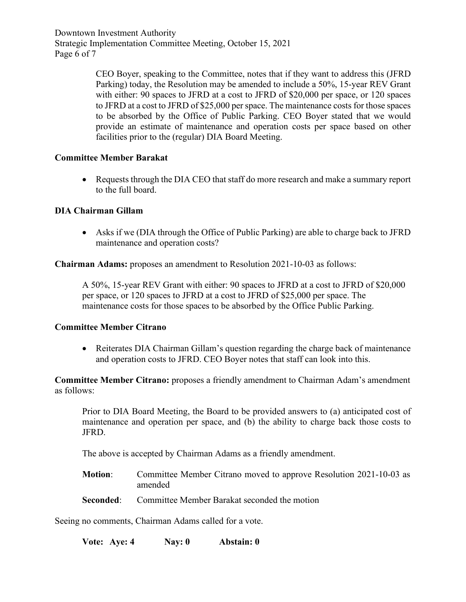Downtown Investment Authority Strategic Implementation Committee Meeting, October 15, 2021 Page 6 of 7

> CEO Boyer, speaking to the Committee, notes that if they want to address this (JFRD Parking) today, the Resolution may be amended to include a 50%, 15-year REV Grant with either: 90 spaces to JFRD at a cost to JFRD of \$20,000 per space, or 120 spaces to JFRD at a cost to JFRD of \$25,000 per space. The maintenance costs for those spaces to be absorbed by the Office of Public Parking. CEO Boyer stated that we would provide an estimate of maintenance and operation costs per space based on other facilities prior to the (regular) DIA Board Meeting.

# **Committee Member Barakat**

• Requests through the DIA CEO that staff do more research and make a summary report to the full board.

# **DIA Chairman Gillam**

• Asks if we (DIA through the Office of Public Parking) are able to charge back to JFRD maintenance and operation costs?

**Chairman Adams:** proposes an amendment to Resolution 2021-10-03 as follows:

A 50%, 15-year REV Grant with either: 90 spaces to JFRD at a cost to JFRD of \$20,000 per space, or 120 spaces to JFRD at a cost to JFRD of \$25,000 per space. The maintenance costs for those spaces to be absorbed by the Office Public Parking.

### **Committee Member Citrano**

• Reiterates DIA Chairman Gillam's question regarding the charge back of maintenance and operation costs to JFRD. CEO Boyer notes that staff can look into this.

**Committee Member Citrano:** proposes a friendly amendment to Chairman Adam's amendment as follows:

Prior to DIA Board Meeting, the Board to be provided answers to (a) anticipated cost of maintenance and operation per space, and (b) the ability to charge back those costs to JFRD.

The above is accepted by Chairman Adams as a friendly amendment.

- **Motion**: Committee Member Citrano moved to approve Resolution 2021-10-03 as amended
- **Seconded:** Committee Member Barakat seconded the motion

Seeing no comments, Chairman Adams called for a vote.

**Vote: Aye: 4 Nay: 0 Abstain: 0**